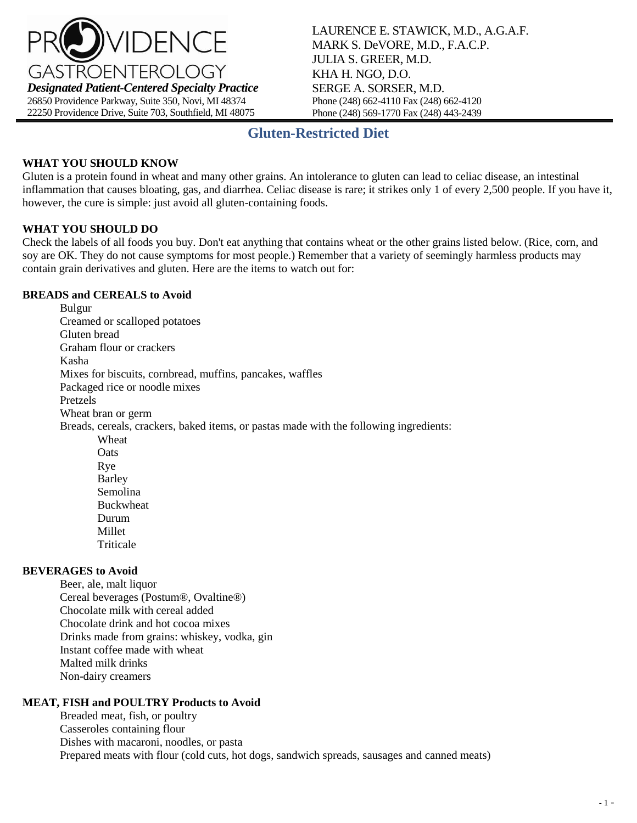

LAURENCE E. STAWICK, M.D., A.G.A.F. MARK S. DeVORE, M.D., F.A.C.P. JULIA S. GREER, M.D. KHA H. NGO, D.O. SERGE A. SORSER, M.D. Phone (248) 662-4110 Fax (248) 662-4120 Phone (248) 569-1770 Fax (248) 443-2439

## **Gluten-Restricted Diet**

## **WHAT YOU SHOULD KNOW**

Gluten is a protein found in wheat and many other grains. An intolerance to gluten can lead to celiac disease, an intestinal inflammation that causes bloating, gas, and diarrhea. Celiac disease is rare; it strikes only 1 of every 2,500 people. If you have it, however, the cure is simple: just avoid all gluten-containing foods.

### **WHAT YOU SHOULD DO**

Check the labels of all foods you buy. Don't eat anything that contains wheat or the other grains listed below. (Rice, corn, and soy are OK. They do not cause symptoms for most people.) Remember that a variety of seemingly harmless products may contain grain derivatives and gluten. Here are the items to watch out for:

#### **BREADS and CEREALS to Avoid**

Bulgur Creamed or scalloped potatoes Gluten bread Graham flour or crackers Kasha Mixes for biscuits, cornbread, muffins, pancakes, waffles Packaged rice or noodle mixes Pretzels Wheat bran or germ Breads, cereals, crackers, baked items, or pastas made with the following ingredients: Wheat **Oats** Rye Barley Semolina Buckwheat Durum Millet Triticale

## **BEVERAGES to Avoid**

Beer, ale, malt liquor Cereal beverages (Postum®, Ovaltine®) Chocolate milk with cereal added Chocolate drink and hot cocoa mixes Drinks made from grains: whiskey, vodka, gin Instant coffee made with wheat Malted milk drinks Non-dairy creamers

## **MEAT, FISH and POULTRY Products to Avoid**

Breaded meat, fish, or poultry Casseroles containing flour Dishes with macaroni, noodles, or pasta Prepared meats with flour (cold cuts, hot dogs, sandwich spreads, sausages and canned meats)